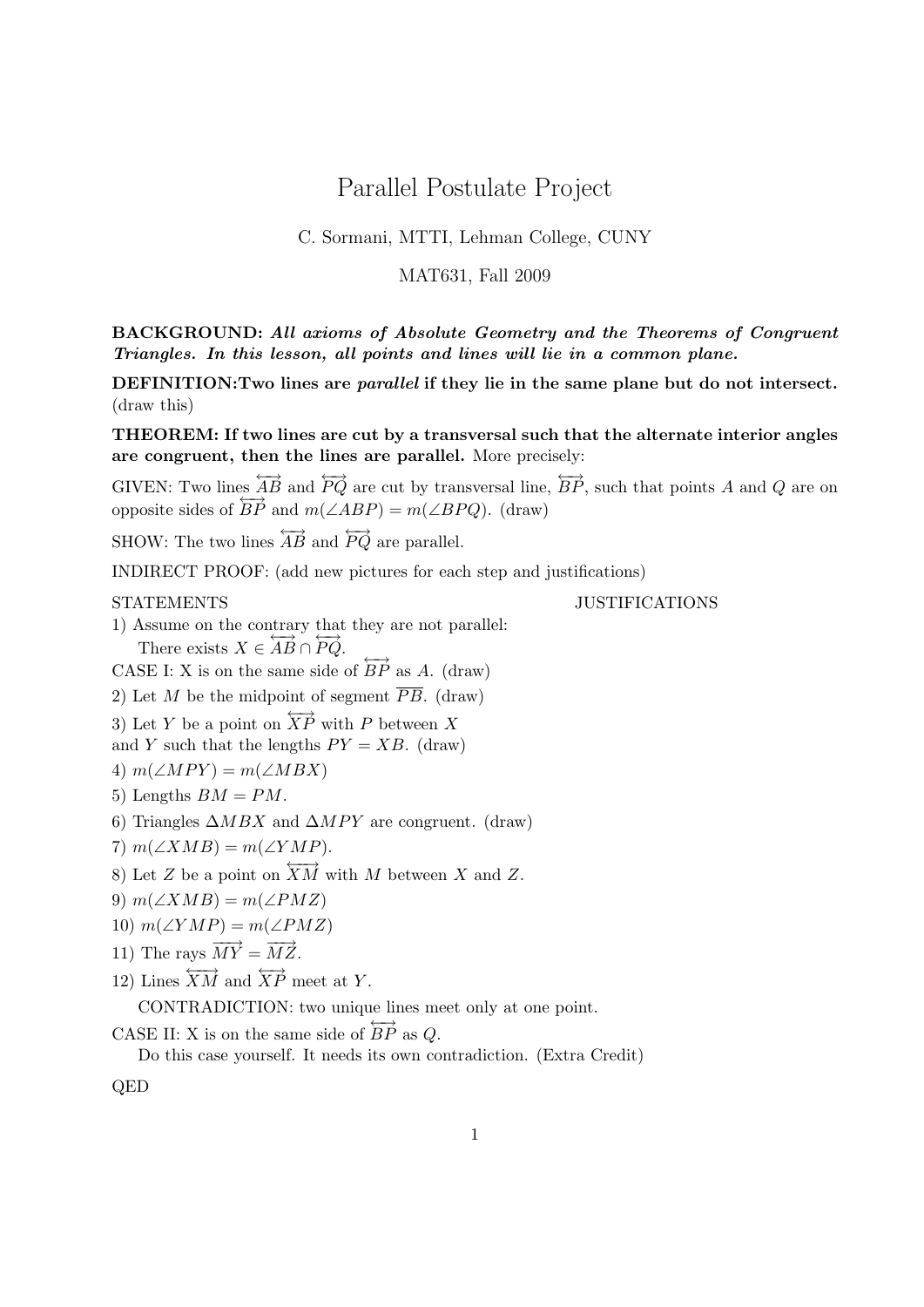# Parallel Postulate Project

## C. Sormani, MTTI, Lehman College, CUNY

### MAT631, Fall 2009

BACKGROUND: All axioms of Absolute Geometry and the Theorems of Congruent Triangles. In this lesson, all points and lines will lie in a common plane.

DEFINITION:Two lines are parallel if they lie in the same plane but do not intersect. (draw this)

THEOREM: If two lines are cut by a transversal such that the alternate interior angles are congruent, then the lines are parallel. More precisely:

GIVEN: Two lines  $\overleftrightarrow{AB}$  and  $\overleftrightarrow{PO}$  are cut by transversal line,  $\overleftrightarrow{BP}$ , such that points A and O are on opposite sides of  $\overrightarrow{BP}$  and  $m(\angle ABP) = m(\angle BPQ)$ . (draw)

SHOW: The two lines  $\overleftrightarrow{AB}$  and  $\overleftrightarrow{PQ}$  are parallel.

INDIRECT PROOF: (add new pictures for each step and justifications)

STATEMENTS JUSTIFICATIONS

1) Assume on the contrary that they are not parallel: There exists  $X \in \overleftrightarrow{AB} \cap \overleftrightarrow{PQ}$ .

CASE I: X is on the same side of  $\overrightarrow{BP}$  as A. (draw)

2) Let M be the midpoint of segment  $\overline{PB}$ . (draw)

3) Let Y be a point on  $\overleftrightarrow{XP}$  with P between X

and Y such that the lengths  $PY = XB$ . (draw)

4)  $m(\angle MPY) = m(\angle MBX)$ 

- 5) Lengths  $BM = PM$ .
- 6) Triangles  $\triangle MBX$  and  $\triangle MPY$  are congruent. (draw)
- 7)  $m(\angle XMB) = m(\angle YMP)$ .
- 8) Let Z be a point on  $\overleftrightarrow{XM}$  with M between X and Z.
- 9)  $m(\angle XMB) = m(\angle PMZ)$
- 10)  $m(\angle YMP) = m(\angle PMZ)$
- 11) The rays  $\overrightarrow{MY} = \overrightarrow{MZ}$ .
- 12) Lines  $\overleftrightarrow{XM}$  and  $\overleftrightarrow{XP}$  meet at Y.

CONTRADICTION: two unique lines meet only at one point.

CASE II: X is on the same side of  $\overrightarrow{BP}$  as Q.

Do this case yourself. It needs its own contradiction. (Extra Credit)

QED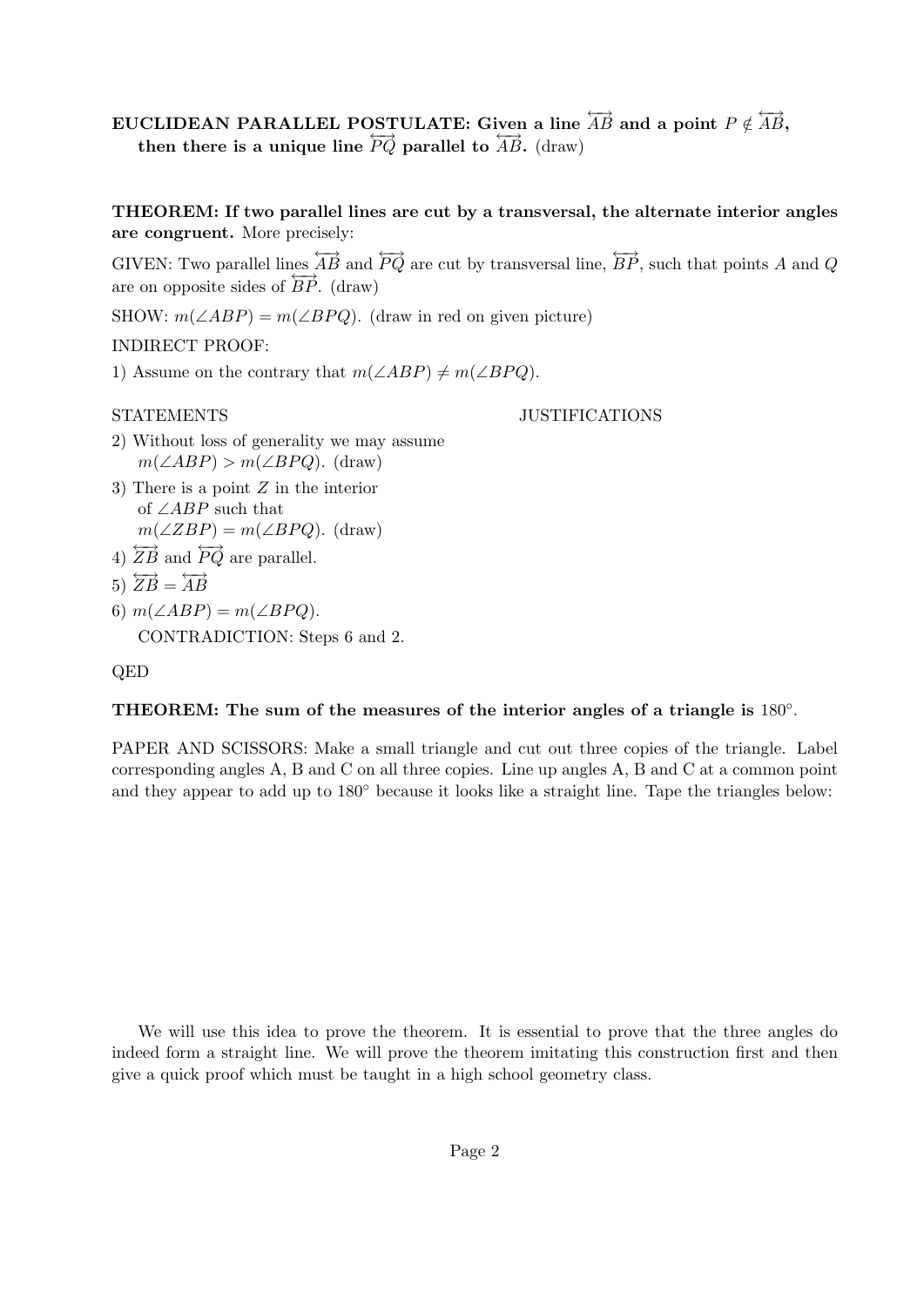# EUCLIDEAN PARALLEL POSTULATE: Given a line  $\overset{\longleftrightarrow}{AB}$  and a point  $P\notin \overset{\longleftrightarrow}{AB},$ then there is a unique line  $\overleftrightarrow{PQ}$  parallel to  $\overleftrightarrow{AB}$ . (draw)

THEOREM: If two parallel lines are cut by a transversal, the alternate interior angles are congruent. More precisely:

GIVEN: Two parallel lines  $\overleftrightarrow{AB}$  and  $\overleftrightarrow{PQ}$  are cut by transversal line,  $\overleftrightarrow{BP}$ , such that points A and Q are on opposite sides of  $\overrightarrow{BP}$ . (draw)

SHOW:  $m(\angle ABP) = m(\angle BPQ)$ . (draw in red on given picture)

## INDIRECT PROOF:

1) Assume on the contrary that  $m(\angle ABP) \neq m(\angle BPQ)$ .

### STATEMENTS JUSTIFICATIONS

- 2) Without loss of generality we may assume  $m(\angle ABP) > m(\angle BPQ)$ . (draw)
- 3) There is a point Z in the interior of ∠ABP such that  $m(\angle ZBP) = m(\angle BPQ)$ . (draw)
- 4)  $\overleftrightarrow{ZB}$  and  $\overleftrightarrow{PQ}$  are parallel.
- 5)  $\overleftrightarrow{ZB} = \overleftrightarrow{AB}$
- 6)  $m(\angle ABP) = m(\angle BPQ)$ . CONTRADICTION: Steps 6 and 2.

# QED

# THEOREM: The sum of the measures of the interior angles of a triangle is  $180^\circ$ .

PAPER AND SCISSORS: Make a small triangle and cut out three copies of the triangle. Label corresponding angles A, B and C on all three copies. Line up angles A, B and C at a common point and they appear to add up to  $180°$  because it looks like a straight line. Tape the triangles below:

We will use this idea to prove the theorem. It is essential to prove that the three angles do indeed form a straight line. We will prove the theorem imitating this construction first and then give a quick proof which must be taught in a high school geometry class.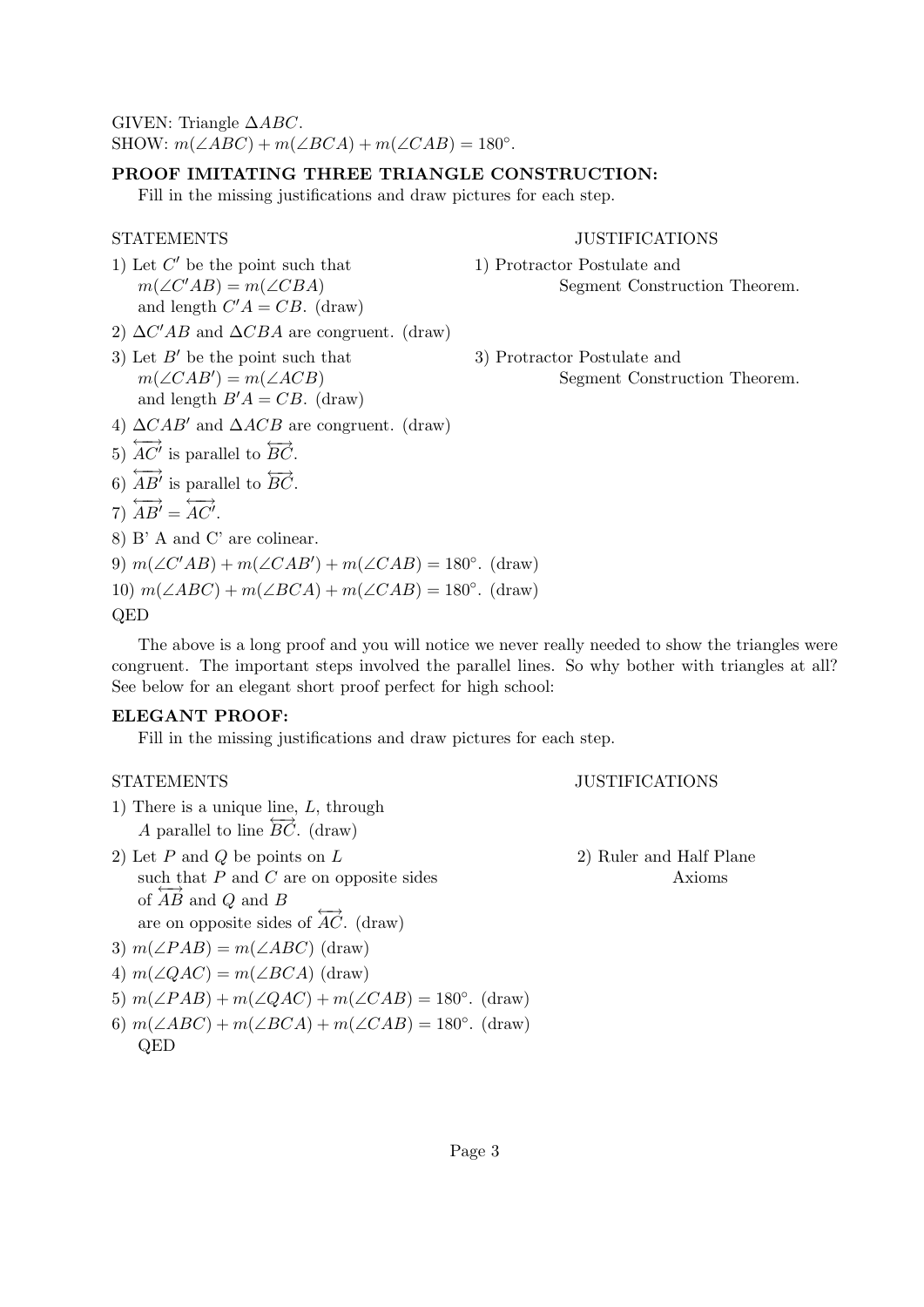GIVEN: Triangle  $\triangle ABC$ .

SHOW:  $m(\angle ABC) + m(\angle BCA) + m(\angle CAB) = 180^{\circ}$ .

#### PROOF IMITATING THREE TRIANGLE CONSTRUCTION:

Fill in the missing justifications and draw pictures for each step.

- 1) Let  $C'$  be the point such that  $m(\angle C'AB) = m(\angle CBA)$ and length  $C'A = CB$ . (draw)
- 2)  $\Delta C'AB$  and  $\Delta CBA$  are congruent. (draw)
- 3) Let  $B'$  be the point such that  $3)$  Protractor Postulate and  $m(\angle CAB') = m(\angle ACB)$ and length  $B'A = CB$ . (draw)

#### STATEMENTS JUSTIFICATIONS

1) Protractor Postulate and Segment Construction Theorem.

Segment Construction Theorem.

- 4)  $\Delta CAB'$  and  $\Delta ACB$  are congruent. (draw)
- 5)  $\overleftrightarrow{AC'}$  is parallel to  $\overleftrightarrow{BC}$ .
- 6)  $\overleftrightarrow{AB}$ <sup>i</sup> is parallel to  $\overleftrightarrow{BC}$ .

$$
7) \overleftrightarrow{AB'} = \overleftrightarrow{AC'}.
$$

8) B' A and C' are colinear.

9)  $m(\angle C'AB) + m(\angle CAB') + m(\angle CAB) = 180^\circ$ . (draw) 10)  $m(\angle ABC) + m(\angle BCA) + m(\angle CAB) = 180^\circ$ . (draw)

# QED

The above is a long proof and you will notice we never really needed to show the triangles were congruent. The important steps involved the parallel lines. So why bother with triangles at all? See below for an elegant short proof perfect for high school:

#### ELEGANT PROOF:

Fill in the missing justifications and draw pictures for each step.

#### STATEMENTS JUSTIFICATIONS

- 1) There is a unique line,  $L$ , through A parallel to line  $\overrightarrow{BC}$ . (draw)
- 2) Let  $P$  and  $Q$  be points on  $L$  2) Ruler and Half Plane such that  $P$  and  $C$  are on opposite sides Axioms of  $\overrightarrow{AB}$  and  $\overrightarrow{Q}$  and  $\overrightarrow{B}$ are on opposite sides of  $\overrightarrow{AC}$ . (draw)

- 3)  $m(\angle PAB) = m(\angle ABC)$  (draw)
- 4)  $m(\angle QAC) = m(\angle BCA)$  (draw)
- 5)  $m(\angle PAB) + m(\angle QAC) + m(\angle CAB) = 180^\circ$ . (draw)
- 6)  $m(\angle ABC) + m(\angle BCA) + m(\angle CAB) = 180^\circ$ . (draw) QED